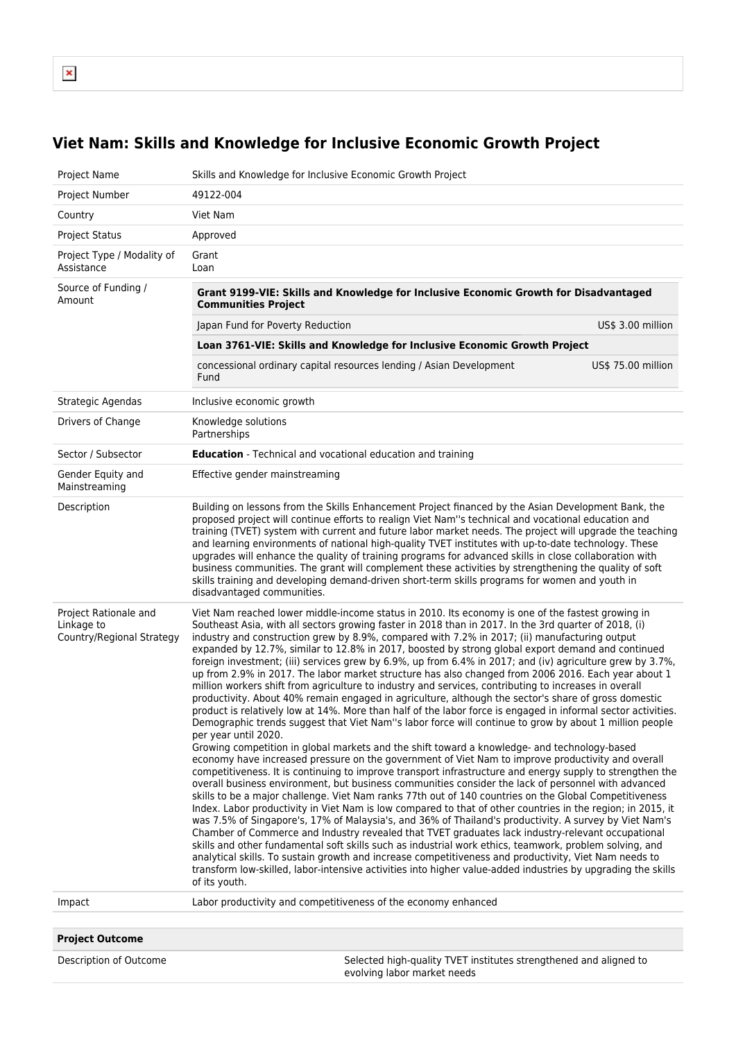$\pmb{\times}$ 

## **Viet Nam: Skills and Knowledge for Inclusive Economic Growth Project**

| Project Name                                                     | Skills and Knowledge for Inclusive Economic Growth Project                                                                                                                                                                                                                                                                                                                                                                                                                                                                                                                                                                                                                                                                                                                                                                                                                                                                                                                                                                                                                                                                                                                                                                                                                                                                                                                                                                                                                                                                                                                                                                                                                                                                                                                                                                                                                                                                                                                                                                                                                                                                                                                                                                                                                                                                     |                    |  |
|------------------------------------------------------------------|--------------------------------------------------------------------------------------------------------------------------------------------------------------------------------------------------------------------------------------------------------------------------------------------------------------------------------------------------------------------------------------------------------------------------------------------------------------------------------------------------------------------------------------------------------------------------------------------------------------------------------------------------------------------------------------------------------------------------------------------------------------------------------------------------------------------------------------------------------------------------------------------------------------------------------------------------------------------------------------------------------------------------------------------------------------------------------------------------------------------------------------------------------------------------------------------------------------------------------------------------------------------------------------------------------------------------------------------------------------------------------------------------------------------------------------------------------------------------------------------------------------------------------------------------------------------------------------------------------------------------------------------------------------------------------------------------------------------------------------------------------------------------------------------------------------------------------------------------------------------------------------------------------------------------------------------------------------------------------------------------------------------------------------------------------------------------------------------------------------------------------------------------------------------------------------------------------------------------------------------------------------------------------------------------------------------------------|--------------------|--|
| Project Number                                                   | 49122-004                                                                                                                                                                                                                                                                                                                                                                                                                                                                                                                                                                                                                                                                                                                                                                                                                                                                                                                                                                                                                                                                                                                                                                                                                                                                                                                                                                                                                                                                                                                                                                                                                                                                                                                                                                                                                                                                                                                                                                                                                                                                                                                                                                                                                                                                                                                      |                    |  |
| Country                                                          | Viet Nam                                                                                                                                                                                                                                                                                                                                                                                                                                                                                                                                                                                                                                                                                                                                                                                                                                                                                                                                                                                                                                                                                                                                                                                                                                                                                                                                                                                                                                                                                                                                                                                                                                                                                                                                                                                                                                                                                                                                                                                                                                                                                                                                                                                                                                                                                                                       |                    |  |
| <b>Project Status</b>                                            | Approved                                                                                                                                                                                                                                                                                                                                                                                                                                                                                                                                                                                                                                                                                                                                                                                                                                                                                                                                                                                                                                                                                                                                                                                                                                                                                                                                                                                                                                                                                                                                                                                                                                                                                                                                                                                                                                                                                                                                                                                                                                                                                                                                                                                                                                                                                                                       |                    |  |
| Project Type / Modality of<br>Assistance                         | Grant<br>Loan                                                                                                                                                                                                                                                                                                                                                                                                                                                                                                                                                                                                                                                                                                                                                                                                                                                                                                                                                                                                                                                                                                                                                                                                                                                                                                                                                                                                                                                                                                                                                                                                                                                                                                                                                                                                                                                                                                                                                                                                                                                                                                                                                                                                                                                                                                                  |                    |  |
| Source of Funding /<br>Amount                                    | Grant 9199-VIE: Skills and Knowledge for Inclusive Economic Growth for Disadvantaged<br><b>Communities Project</b>                                                                                                                                                                                                                                                                                                                                                                                                                                                                                                                                                                                                                                                                                                                                                                                                                                                                                                                                                                                                                                                                                                                                                                                                                                                                                                                                                                                                                                                                                                                                                                                                                                                                                                                                                                                                                                                                                                                                                                                                                                                                                                                                                                                                             |                    |  |
|                                                                  | Japan Fund for Poverty Reduction                                                                                                                                                                                                                                                                                                                                                                                                                                                                                                                                                                                                                                                                                                                                                                                                                                                                                                                                                                                                                                                                                                                                                                                                                                                                                                                                                                                                                                                                                                                                                                                                                                                                                                                                                                                                                                                                                                                                                                                                                                                                                                                                                                                                                                                                                               | US\$ 3.00 million  |  |
|                                                                  | Loan 3761-VIE: Skills and Knowledge for Inclusive Economic Growth Project                                                                                                                                                                                                                                                                                                                                                                                                                                                                                                                                                                                                                                                                                                                                                                                                                                                                                                                                                                                                                                                                                                                                                                                                                                                                                                                                                                                                                                                                                                                                                                                                                                                                                                                                                                                                                                                                                                                                                                                                                                                                                                                                                                                                                                                      |                    |  |
|                                                                  | concessional ordinary capital resources lending / Asian Development<br>Fund                                                                                                                                                                                                                                                                                                                                                                                                                                                                                                                                                                                                                                                                                                                                                                                                                                                                                                                                                                                                                                                                                                                                                                                                                                                                                                                                                                                                                                                                                                                                                                                                                                                                                                                                                                                                                                                                                                                                                                                                                                                                                                                                                                                                                                                    | US\$ 75.00 million |  |
| Strategic Agendas                                                | Inclusive economic growth                                                                                                                                                                                                                                                                                                                                                                                                                                                                                                                                                                                                                                                                                                                                                                                                                                                                                                                                                                                                                                                                                                                                                                                                                                                                                                                                                                                                                                                                                                                                                                                                                                                                                                                                                                                                                                                                                                                                                                                                                                                                                                                                                                                                                                                                                                      |                    |  |
| Drivers of Change                                                | Knowledge solutions<br>Partnerships                                                                                                                                                                                                                                                                                                                                                                                                                                                                                                                                                                                                                                                                                                                                                                                                                                                                                                                                                                                                                                                                                                                                                                                                                                                                                                                                                                                                                                                                                                                                                                                                                                                                                                                                                                                                                                                                                                                                                                                                                                                                                                                                                                                                                                                                                            |                    |  |
| Sector / Subsector                                               | <b>Education</b> - Technical and vocational education and training                                                                                                                                                                                                                                                                                                                                                                                                                                                                                                                                                                                                                                                                                                                                                                                                                                                                                                                                                                                                                                                                                                                                                                                                                                                                                                                                                                                                                                                                                                                                                                                                                                                                                                                                                                                                                                                                                                                                                                                                                                                                                                                                                                                                                                                             |                    |  |
| Gender Equity and<br>Mainstreaming                               | Effective gender mainstreaming                                                                                                                                                                                                                                                                                                                                                                                                                                                                                                                                                                                                                                                                                                                                                                                                                                                                                                                                                                                                                                                                                                                                                                                                                                                                                                                                                                                                                                                                                                                                                                                                                                                                                                                                                                                                                                                                                                                                                                                                                                                                                                                                                                                                                                                                                                 |                    |  |
| Description                                                      | Building on lessons from the Skills Enhancement Project financed by the Asian Development Bank, the<br>proposed project will continue efforts to realign Viet Nam"s technical and vocational education and<br>training (TVET) system with current and future labor market needs. The project will upgrade the teaching<br>and learning environments of national high-quality TVET institutes with up-to-date technology. These<br>upgrades will enhance the quality of training programs for advanced skills in close collaboration with<br>business communities. The grant will complement these activities by strengthening the quality of soft<br>skills training and developing demand-driven short-term skills programs for women and youth in<br>disadvantaged communities.                                                                                                                                                                                                                                                                                                                                                                                                                                                                                                                                                                                                                                                                                                                                                                                                                                                                                                                                                                                                                                                                                                                                                                                                                                                                                                                                                                                                                                                                                                                                              |                    |  |
| Project Rationale and<br>Linkage to<br>Country/Regional Strategy | Viet Nam reached lower middle-income status in 2010. Its economy is one of the fastest growing in<br>Southeast Asia, with all sectors growing faster in 2018 than in 2017. In the 3rd quarter of 2018, (i)<br>industry and construction grew by 8.9%, compared with 7.2% in 2017; (ii) manufacturing output<br>expanded by 12.7%, similar to 12.8% in 2017, boosted by strong global export demand and continued<br>foreign investment; (iii) services grew by 6.9%, up from 6.4% in 2017; and (iv) agriculture grew by 3.7%,<br>up from 2.9% in 2017. The labor market structure has also changed from 2006 2016. Each year about 1<br>million workers shift from agriculture to industry and services, contributing to increases in overall<br>productivity. About 40% remain engaged in agriculture, although the sector's share of gross domestic<br>product is relatively low at 14%. More than half of the labor force is engaged in informal sector activities.<br>Demographic trends suggest that Viet Nam"s labor force will continue to grow by about 1 million people<br>per year until 2020.<br>Growing competition in global markets and the shift toward a knowledge- and technology-based<br>economy have increased pressure on the government of Viet Nam to improve productivity and overall<br>competitiveness. It is continuing to improve transport infrastructure and energy supply to strengthen the<br>overall business environment, but business communities consider the lack of personnel with advanced<br>skills to be a major challenge. Viet Nam ranks 77th out of 140 countries on the Global Competitiveness<br>Index. Labor productivity in Viet Nam is low compared to that of other countries in the region; in 2015, it<br>was 7.5% of Singapore's, 17% of Malaysia's, and 36% of Thailand's productivity. A survey by Viet Nam's<br>Chamber of Commerce and Industry revealed that TVET graduates lack industry-relevant occupational<br>skills and other fundamental soft skills such as industrial work ethics, teamwork, problem solving, and<br>analytical skills. To sustain growth and increase competitiveness and productivity, Viet Nam needs to<br>transform low-skilled, labor-intensive activities into higher value-added industries by upgrading the skills<br>of its youth. |                    |  |
| Impact                                                           | Labor productivity and competitiveness of the economy enhanced                                                                                                                                                                                                                                                                                                                                                                                                                                                                                                                                                                                                                                                                                                                                                                                                                                                                                                                                                                                                                                                                                                                                                                                                                                                                                                                                                                                                                                                                                                                                                                                                                                                                                                                                                                                                                                                                                                                                                                                                                                                                                                                                                                                                                                                                 |                    |  |
| <b>Project Outcome</b>                                           |                                                                                                                                                                                                                                                                                                                                                                                                                                                                                                                                                                                                                                                                                                                                                                                                                                                                                                                                                                                                                                                                                                                                                                                                                                                                                                                                                                                                                                                                                                                                                                                                                                                                                                                                                                                                                                                                                                                                                                                                                                                                                                                                                                                                                                                                                                                                |                    |  |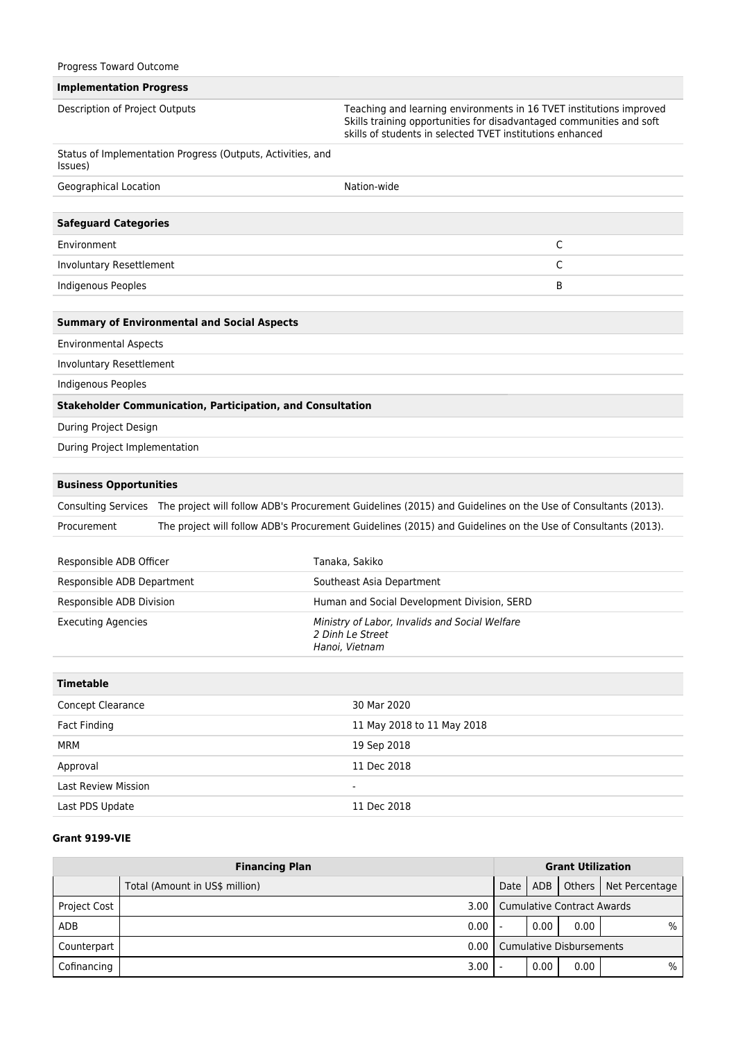|  |  | Progress Toward Outcome |
|--|--|-------------------------|
|--|--|-------------------------|

## **Implementation Progress**

| Description of Project Outputs |                                                                   | Teaching and learning environments in 16 TVET institutions improved<br>Skills training opportunities for disadvantaged communities and soft<br>skills of students in selected TVET institutions enhanced |  |
|--------------------------------|-------------------------------------------------------------------|----------------------------------------------------------------------------------------------------------------------------------------------------------------------------------------------------------|--|
| Issues)                        | Status of Implementation Progress (Outputs, Activities, and       |                                                                                                                                                                                                          |  |
| Geographical Location          |                                                                   | Nation-wide                                                                                                                                                                                              |  |
|                                |                                                                   |                                                                                                                                                                                                          |  |
| <b>Safeguard Categories</b>    |                                                                   |                                                                                                                                                                                                          |  |
| Environment                    |                                                                   | C                                                                                                                                                                                                        |  |
| Involuntary Resettlement       |                                                                   | C                                                                                                                                                                                                        |  |
| <b>Indigenous Peoples</b>      |                                                                   | В                                                                                                                                                                                                        |  |
|                                | <b>Summary of Environmental and Social Aspects</b>                |                                                                                                                                                                                                          |  |
| <b>Environmental Aspects</b>   |                                                                   |                                                                                                                                                                                                          |  |
| Involuntary Resettlement       |                                                                   |                                                                                                                                                                                                          |  |
| <b>Indigenous Peoples</b>      |                                                                   |                                                                                                                                                                                                          |  |
|                                | <b>Stakeholder Communication, Participation, and Consultation</b> |                                                                                                                                                                                                          |  |
| During Project Design          |                                                                   |                                                                                                                                                                                                          |  |
| During Project Implementation  |                                                                   |                                                                                                                                                                                                          |  |
|                                |                                                                   |                                                                                                                                                                                                          |  |
| <b>Business Opportunities</b>  |                                                                   |                                                                                                                                                                                                          |  |
|                                |                                                                   | Consulting Services The project will follow ADB's Procurement Guidelines (2015) and Guidelines on the Use of Consultants (2013).                                                                         |  |
| Procurement                    |                                                                   | The project will follow ADB's Procurement Guidelines (2015) and Guidelines on the Use of Consultants (2013).                                                                                             |  |
| Responsible ADB Officer        |                                                                   | Tanaka, Sakiko                                                                                                                                                                                           |  |
| Responsible ADB Department     |                                                                   | Southeast Asia Department                                                                                                                                                                                |  |
| Responsible ADB Division       |                                                                   | Human and Social Development Division, SERD                                                                                                                                                              |  |
| <b>Executing Agencies</b>      |                                                                   | Ministry of Labor, Invalids and Social Welfare<br>2 Dinh Le Street<br>Hanoi, Vietnam                                                                                                                     |  |
| <b>Timetable</b>               |                                                                   |                                                                                                                                                                                                          |  |
| Concept Clearance              |                                                                   | 30 Mar 2020                                                                                                                                                                                              |  |
| <b>Fact Finding</b>            |                                                                   | 11 May 2018 to 11 May 2018                                                                                                                                                                               |  |
| <b>MRM</b>                     |                                                                   | 19 Sep 2018                                                                                                                                                                                              |  |
| Approval                       |                                                                   | 11 Dec 2018                                                                                                                                                                                              |  |
| <b>Last Review Mission</b>     |                                                                   |                                                                                                                                                                                                          |  |
| Last PDS Update                |                                                                   | 11 Dec 2018                                                                                                                                                                                              |  |
|                                |                                                                   |                                                                                                                                                                                                          |  |

## **Grant 9199-VIE**

| <b>Financing Plan</b> |                                | <b>Grant Utilization</b>          |      |      |                         |
|-----------------------|--------------------------------|-----------------------------------|------|------|-------------------------|
|                       | Total (Amount in US\$ million) | Date                              | ADB  |      | Others   Net Percentage |
| <b>Project Cost</b>   | 3.00                           | <b>Cumulative Contract Awards</b> |      |      |                         |
| ADB                   | 0.00                           |                                   | 0.00 | 0.00 | $\%$                    |
| Counterpart           | 0.00                           | <b>Cumulative Disbursements</b>   |      |      |                         |
| Cofinancing           | 3.00                           |                                   | 0.00 | 0.00 | $\%$                    |